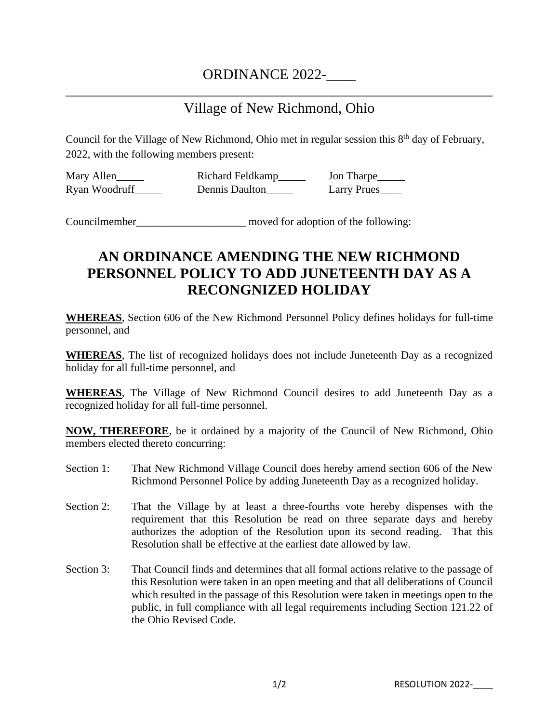## ORDINANCE 2022-

## Village of New Richmond, Ohio

Council for the Village of New Richmond, Ohio met in regular session this 8<sup>th</sup> day of February, 2022, with the following members present:

Mary Allen\_\_\_\_\_\_ Richard Feldkamp\_\_\_\_\_ Jon Tharpe\_\_\_\_\_ Ryan Woodruff\_\_\_\_\_\_ Dennis Daulton\_\_\_\_\_ Larry Prues\_\_\_\_

Councilmember moved for adoption of the following:

## **AN ORDINANCE AMENDING THE NEW RICHMOND PERSONNEL POLICY TO ADD JUNETEENTH DAY AS A RECONGNIZED HOLIDAY**

**WHEREAS**, Section 606 of the New Richmond Personnel Policy defines holidays for full-time personnel, and

**WHEREAS**, The list of recognized holidays does not include Juneteenth Day as a recognized holiday for all full-time personnel, and

**WHEREAS**, The Village of New Richmond Council desires to add Juneteenth Day as a recognized holiday for all full-time personnel.

**NOW, THEREFORE**, be it ordained by a majority of the Council of New Richmond, Ohio members elected thereto concurring:

- Section 1: That New Richmond Village Council does hereby amend section 606 of the New Richmond Personnel Police by adding Juneteenth Day as a recognized holiday.
- Section 2: That the Village by at least a three-fourths vote hereby dispenses with the requirement that this Resolution be read on three separate days and hereby authorizes the adoption of the Resolution upon its second reading. That this Resolution shall be effective at the earliest date allowed by law.
- Section 3: That Council finds and determines that all formal actions relative to the passage of this Resolution were taken in an open meeting and that all deliberations of Council which resulted in the passage of this Resolution were taken in meetings open to the public, in full compliance with all legal requirements including Section 121.22 of the Ohio Revised Code.